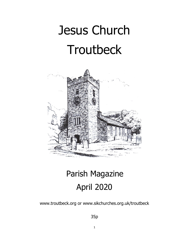# Jesus Church **Troutbeck**



# Parish Magazine April 2020

www.troutbeck.org or www.sikchurches.org.uk/troutbeck

35p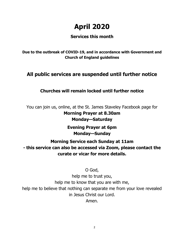# **April 2020**

# **Services this month**

**Due to the outbreak of COVID-19, and in accordance with Government and Church of England guidelines**

# **All public services are suspended until further notice**

# **Churches will remain locked until further notice**

You can join us, online, at the St. James Staveley Facebook page for **Morning Prayer at 8.30am Monday—Saturday**

> **Evening Prayer at 6pm Monday—Sunday**

**Morning Service each Sunday at 11am - this service can also be accessed via Zoom, please contact the curate or vicar for more details.**

O God,

help me to trust you, help me to know that you are with me, help me to believe that nothing can separate me from your love revealed in Jesus Christ our Lord. Amen.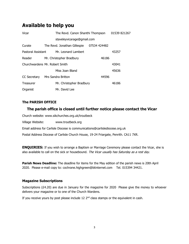# **Available to help you**

| Vicar                          | The Revd. Canon Shanthi Thompson |              | 01539 821267 |
|--------------------------------|----------------------------------|--------------|--------------|
| staveleyvicarage@gmail.com     |                                  |              |              |
| Curate                         | The Revd. Jonathan Gillespie     | 07534 424482 |              |
| Pastoral Assistant             | Mr. Leonard Lambert              |              | 43257        |
| Reader                         | Mr. Christopher Bradbury         | 46186        |              |
| Churchwardens Mr. Robert Smith |                                  | 43041        |              |
|                                | Miss Joan Bland                  |              | 45636        |
| CC Secretary                   | Mrs Sandra Britton               | 44596        |              |
| Treasurer                      | Mr. Christopher Bradbury         |              | 46186        |
| Organist                       | Mr. David Lee                    |              |              |

#### **The PARISH OFFICE**

#### **The parish office is closed until further notice please contact the Vicar**

Church website: www.sikchurches.org.uk/troutbeck

Village Website: www.troutbeck.org

Email address for Carlisle Diocese is communications@carlislediocese.org.uk

Postal Address Diocese of Carlisle Church House, 19-24 Friargate, Penrith. CA11 7XR.

**ENQUIRIES:** If you wish to arrange a Baptism or Marriage Ceremony please contact the Vicar, she is also available to call on the sick or housebound. The Vicar usually has Saturday as a rest day.

**Parish News Deadline:** The deadline for items for the May edition of the parish news is 20th April 2020. Please e-mail copy to: cochrane.highgreen@btinternet.com Tel. 015394 34421.

#### **Magazine Subscriptions**

Subscriptions ( $£4.20$ ) are due in January for the magazine for 2020 Please give the money to whoever delivers your magazine or to one of the Church Wardens.

If you receive yours by post please include  $12 \, 2^{nd}$  class stamps or the equivalent in cash.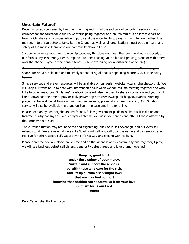#### **Uncertain Future?**

Recently, on advice issued by the Church of England, I had the sad task of cancelling services in our churches for the foreseeable future. As worshipping together as a church family is an intrinsic part of being a Christian and provides fellowship, joy and the opportunity to pray with and for each other, this may seem to a tragic step to take. But the Church, as well as all organisations, must put the health and safety of the most vulnerable in our community above all else.

Just because we cannot meet to worship together, this does not mean that our churches are closed, or our faith is any less strong. I encourage you to keep reading your Bible and praying, alone or with others over the phone, Skype, or the garden fence ( whilst exercising social distancing of course)

Our churches will be opened daily, as before, and we encourage folk to come and use them as quiet spaces for prayer, reflection and to simply sit and bring all that is happening before God, our heavenly Father.

Simple services and prayer resources will be available on our parish website www.sikchurches.org.uk. We will keep our website up to date with information about when we can resume meeting together and with links to other resources. St. James' Facebook page will also we used to share information and you might like to download the time to pray or daily prayer app https://www.chpublishing.co.uk/apps. Morning prayer will be said live at 8am each morning and evening prayer at 6pm each evening. Our Sunday service will also be available there and on Zoom – please email me for a link.

Please keep an eye on neighbours and friends, follow government guidelines about self-isolation and treatment. Why not say the Lord's prayer each time you wash your hands and offer all those affected by the Coronavirus to God?

The current situation may feel hopeless and frightening, but God is still sovereign, and his loves still extends to all. We are never alone as His Spirit is with all who call upon his name and by demonstrating His love for others above self, we are living life his way and shining with his light.

Please don't feel you are alone, call on me and on the kindness of this community and together, I pray, we will see kindness defeat selfishness, generosity defeat greed and love triumph over evil.

> **Keep us, good Lord, under the shadow of your mercy. Sustain and support the anxious, be with those who care for the sick, and lift up all who are brought low; that we may find comfort knowing that nothing can separate us from your love in Christ Jesus our Lord. Amen**

Revd Canon Shanthi Thompson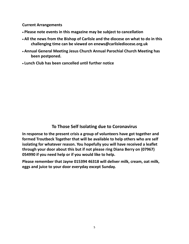**Current Arrangements** 

- **Please note events in this magazine may be subject to cancellation**
- **All the news from the Bishop of Carlisle and the diocese on what to do in this challenging time can be viewed on enews@carlislediocese.org.uk**
- **Annual General Meeting Jesus Church Annual Parochial Church Meeting has been postponed.**
- **Lunch Club has been cancelled until further notice**

## **To Those Self Isolating due to Coronavirus**

**In response to the present crisis a group of volunteers have got together and formed Troutbeck Together that will be available to help others who are self isolating for whatever reason. You hopefully you will have received a leaflet through your door about this but if not please ring Diana Berry on (07967) 054990 if you need help or if you would like to help.**

**Please remember that Jayne 015394 46318 will deliver milk, cream, oat milk, eggs and juice to your door everyday except Sunday.**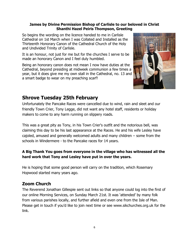#### **James by Divine Permission Bishop of Carlisle to our beloved in Christ Shanthi Hazel Peiris Thompson, Greeting**

So begins the wording on the licence handed to me in Carlisle Cathedral on 1st March when I was Collated and Installed as the Thirteenth Honorary Canon of the Cathedral Church of the Holy and Undivided Trinity of Carlisle.

It is an honour, not just for me but for the churches I serve to be made an honorary Canon and I feel duly humbled.

Being an honorary canon does not mean I now have duties at the Cathedral, beyond presiding at midweek communion a few times a year, but it does give me my own stall in the Cathedral, no. 13 and a smart badge to wear on my preaching scarf!



# **Shrove Tuesday 25th February**

Unfortunately the Pancake Races were cancelled due to wind, rain and sleet and our friendly Town Crier, Tony Legge, did not want any hotel staff, residents or holiday makers to come to any harm running on slippery roads.

This was a great pity as Tony, in his Town Crier's outfit and the notorious bell, was claiming this day to be his last appearance at the Races. He and his wife Lesley have cajoled, amused and generally welcomed adults and many children – some from the schools in Windermere - to the Pancake races for 14 years.

#### **A Big Thank You goes from everyone in the village who has witnessed all the hard work that Tony and Lesley have put in over the years.**

He is hoping that some good person will carry on the tradition, which Rosemary Hopwood started many years ago.

## **Zoom Church**

The Reverend Jonathan Gillespie sent out links so that anyone could log into the first of our online Morning Services, on Sunday March 21st. It was 'attended' by many folk from various parishes locally, and further afield and even one from the Isle of Man. Please get in touch if you'd like to join next time or see www.sikchurches.org.uk for the link.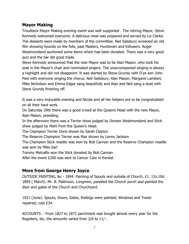## **Mayor Making**

Troutbeck Mayor Making evening event was well supported . The retiring Mayor, Steve Kennedy welcomed everyone. A delicious meal was prepared and served by Liz Clarke. The desserts were made by members of the committee. Neil Salisbury screened an old film showing hounds on the fells, past Masters, Huntsmen and followers. Roger Westmoreland auctioned some items which had been donated. There was a very good quiz and the bar did good trade.

Steve Kennedy announced that the new Mayor was to be Alan Mason, who took his seat in the Mayor's chair and nominated singers. The unaccompanied singing is always a highlight and did not disappoint. It was started by Steve Grundy with D'ye ken John Peel with everyone singing the chorus. Neil Salisbury, Alan Mason, Margaret Lambert, Mike Nicholson and Emma Edgar sang beautifully and Alan and Neil sang a duet with Steve Grundy finishing off.

It was a very enjoyable evening and Nicola and all her helpers are to be congratulated on all their hard work.

On Saturday 29th there was a good crowd at the Queens Head with the new Mayor, Alan Mason, presiding.

In the afternoon there was a Terrier show judged by Doreen Westmoreland and Stick show judged by Mark from the Queen's Head.

The Champion Terrier Doris shown by Sarah Clayton

The Reserve Champion Terrier was Max shown by Lenny Jackson

The Champion Stick rosette was won by Bob Cannan and the Reserve Champion rosette was won by Mike Earl

Tommy Metcalfe won the Stick donated by Bob Cannan

After the event £200 was sent to Cancer Care in Kendal.

#### **More from George Henry Joyce**

OUTSIDE PAINTING, &c - 1894. Painting of Spouts and outside of Church, £1. 12s.10d. 1894 ( March). Mr. B. Pattinson, Longmire, panelled the Church porch and painted the door and gates of the Church and Churchyard.

1921 (June). Spouts, Doors, Gates, Railings were painted; Windows and Tower repaired; cost £34.

ACCOUNTS. - From 1827 to 1872 parchment was bought almost every year for the Registers, etc, the amounts varied from 2/6 to 11/-.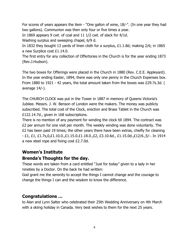For scores of years appears the item - "One gallon of wine, 18/-". (In one year they had two gallons). Communion was then only four or five times a year.

In 1869 appears 9 cwt. of coal and 11 1/2 cwt. of slack for 4/1d.

Washing surplus and sweeping chapel, 6/9 d.

In 1832 they bought 13 yards of linen cloth for a surplus, £1.1.8d; making 2/6; in 1865 a new Surplice cost £1.14.0.

The first entry for any collection of Offertories in the Church is for the year ending 1873 (Rev.J.Hudson).

The two boxes for Offerings were placed in the Church in 1880 (Rev. C.E.E. Appleyard). In the year ending Easter, 1894, there was only one penny in the Church Expenses box. From 1880 to 1921 - 42 years, the total amount taken from the boxes was £29.7s.3d. ( average 14/-).

The CHURCH CLOCK was put in the Tower in 1887 in memory of Queens Victoria's Jubilee. Messrs. J. W. Benson of London were the makers. The money was publicly subscribed. The total cost of the Clock, erection and Brass Tablet in the Church was £122.14.7d., given in 168 subscriptions.

There is no mention of any payment for winding the clock till 1894. The contract was £2 per annum for one visit per month. The weekly winding was done voluntarily. The £2 has been paid 19 times; the other years there have been extras, chiefly for cleaning - £1, £1, £1.7s,0,£1.10.0.,£1.15.0.£1.18.0.,£2, £3.10.6d., £1.15.0d.,£12/6.,5/-. In 1914 a new steel rope and fixing cost £2.7.0d.

# **Women's Institute**

## **Brenda's Thoughts for the day.**

These words are taken from a card entitled "Just for today" given to a lady in her nineties by a Doctor. On the back he had written:

God grant me the serenity to accept the things I cannot change and the courage to change the things I can and the wisdom to know the difference.

# **Congratulations …**

to Alan and Lynn Salter who celebrated their 25th Wedding Anniversary on 4th March with a skiing holiday in Canada. Very best wishes to them for the next 25 years.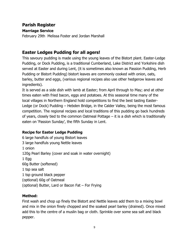## **Parish Register**

#### **Marriage Service**

February 29th Melissa Foster and Jordan Marshall

# **Easter Ledges Pudding for all agers!**

This savoury pudding is made using the young leaves of the Bistort plant. Easter-Ledge Pudding, or Dock Pudding, is a traditional Cumberland, Lake District and Yorkshire dish served at Easter and during Lent, (it is sometimes also known as Passion Pudding, Herb Pudding or Bistort Pudding) bistort leaves are commonly cooked with onion, oats, barley, butter and eggs, (various regional recipes also use other hedgerow leaves and ingredients).

It is served as a side dish with lamb at Easter; from April through to May; and at other times eaten with fried bacon, eggs and potatoes. At this seasonal time many of the local villages in Northern England hold competitions to find the best tasting Easter-Ledge (or Dock) Pudding – Hebden Bridge, in the Calder Valley, being the most famous competition. The regional recipes and local traditions of this pudding go back hundreds of years, closely tied to the common Oatmeal Pottage – it is a dish which is traditionally eaten on 'Passion Sunday', the fifth Sunday in Lent.

#### **Recipe for Easter Ledge Pudding**

6 large handfuls of young Bistort leaves 3 large handfuls young Nettle leaves 1 onion 120g Pearl Barley (cover and soak in water overnight) 1 Egg 60g Butter (softened) 1 tsp sea salt 1 tsp ground black pepper (optional) 60g of Oatmeal (optional) Butter, Lard or Bacon Fat – For Frying

#### **Method:**

First wash and chop up finely the Bistort and Nettle leaves add them to a mixing bowl and mix in the onion finely chopped and the soaked pearl barley (drained). Once mixed add this to the centre of a muslin bag or cloth. Sprinkle over some sea salt and black pepper.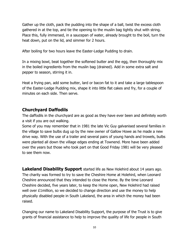Gather up the cloth, pack the pudding into the shape of a ball, twist the excess cloth gathered in at the top, and tie the opening to the muslin bag tightly shut with string. Place this, fully immersed, in a saucepan of water, already brought to the boil, turn the heat down, put on the lid, and simmer for 2 hours.

After boiling for two hours leave the Easter-Ledge Pudding to drain.

In a mixing bowl, beat together the softened butter and the egg, then thoroughly mix in the boiled ingredients from the muslin bag (drained). Add in some extra salt and pepper to season, stirring it in.

Heat a frying pan, add some butter, lard or bacon fat to it and take a large tablespoon of the Easter-Ledge Pudding mix, shape it into little flat cakes and fry, for a couple of minutes on each side. Then serve.

## **Churchyard Daffodils**

The daffodils in the churchyard are as good as they have ever been and definitely worth a visit if you are out walking.

Some of you may remember that in 1981 the late Vic Guy galvanised several families in the village to save bulbs dug up by the new owner of Gallow Howe as he made a new drive way. With the use of a trailer and several pairs of young hands and trowels, bulbs were planted all down the village edges ending at Townend. More have been added over the years but those who took part on that Good Friday 1981 will be very pleased to see them now.

**Lakeland Disability Support** started life as New Holehird about 14 years ago. The charity was formed to try to save the Cheshire Home at Holehird, when Leonard Cheshire announced that they intended to close the Home. By the time Leonard Cheshire decided, five years later, to keep the Home open, New Holehird had raised well over £1million, so we decided to change direction and use the money to help physically disabled people in South Lakeland, the area in which the money had been raised.

Changing our name to Lakeland Disability Support, the purpose of the Trust is to give grants of financial assistance to help to improve the quality of life for people in South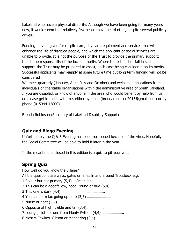Lakeland who have a physical disability. Although we have been going for many years now, it would seem that relatively few people have heard of us, despite several publicity drives.

Funding may be given for respite care, day care, equipment and services that will enhance the life of disabled people, and which the applicant or social services are unable to provide. It is not the purpose of the Trust to provide the primary support; that is the responsibility of the local authority. Where there is a shortfall in such support, the Trust may be prepared to assist, each case being considered on its merits. Successful applicants may reapply at some future time but long term funding will not be considered

We meet quarterly (January, April, July and October) and welcome applications from individuals or charitable organisations within the administrative area of South Lakeland. If you are disabled, or know of anyone in the area who would benefit by help from us, do please get in touch with me, either by email (brendarobinson2015@gmail.com) or by phone (015394 42800).

Brenda Robinson (Secretary of Lakeland Disability Support)

# **Quiz and Bingo Evening**

Unfortunately the Q & B Evening has been postponed because of the virus. Hopefully the Social Committee will be able to hold it later in the year.

In the meantime enclosed in this edition is a quiz to pit your wits.

# **Spring Quiz**

How well do you know the village? All the questions are ways, gates or lanes in and around Troutbeck e.g. 1 Colour but not primary (5,4) …Green lane…………………… 2 This can be a goodfellow, hood, round or bird (5,4)…………… 3 This one is dark (4,4)…………………………………….. 4 You cannot relax going up here (3,5) …………………… 5 Nurse or goat (5,4)…………………………….. 6 Opposite of high, treble and tall (3,4)…………….. 7 Lounge, sloth or one from Monty Python (4,4)………………….. 8 Messrs Fawkes, Gibson or Mannering (3,4)……………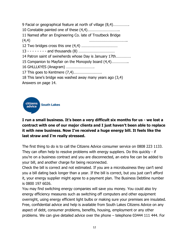9 Facial or geographical feature at north of village (8,4)……………. 10 Constable painted one of these (4,4)………………………….. 11 Named after an Engineering Co. late of Troutbeck Bridge  $(4,4)$ 12 Two bridges cross this one (4,4) ……………………………… 13 - - - - - - - - and thousands (8) ……………………………… 14 Patron saint of swineherds whose Day is January 17th…………… 15 Companion to Mayfair on the Monopoly board (4,4)…………….. 16 GHLLLKYES (Anagram) ………………………. 17 This goes to Kentmere (7,4)………………………. 18 This lane's bridge was washed away many years ago (3,4) Answers on page 14.



#### **I run a small business. It's been a very difficult six months for us - we lost a contract with one of our major clients and I just haven't been able to replace it with new business. Now I've received a huge energy bill. It feels like the last straw and I'm really stressed.**

The first thing to do is to call the Citizens Advice consumer service on 0808 223 1133. They can often help to resolve problems with energy suppliers. Do this quickly - if you're on a business contract and you are disconnected, an extra fee can be added to your bill, and another charge for being reconnected.

Check the bill is correct and not estimated. If you are a microbusiness they can't send you a bill dating back longer than a year. If the bill is correct, but you just can't afford it, your energy supplier might agree to a payment plan. The Business Debtline number is 0800 197 6026.

You may find switching energy companies will save you money. You could also try energy efficiency measures such as switching off computers and other equipment overnight, using energy efficient light bulbs or making sure your premises are insulated. Free, confidential advice and help is available from South Lakes Citizens Advice on any aspect of debt, consumer problems, benefits, housing, employment or any other problems. We can give detailed advice over the phone – telephone 03444 111 444. For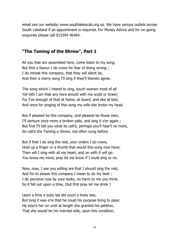email see our website: www.southlakescab.org.uk. We have various outlets across South Lakeland if an appointment is required. For Money Advice and for on-going enquiries please call 015394 46464.

#### **"The Taming of the Shrew", Part 1**

All you that are assembled here, come listen to my song, But first a favour I do crave for fear of doing wrong ; I do intreat this company, that they will silent be, And then a merry song I'll sing if they'll thereto agree.

The song which I intend to sing, touch women most of all Yet loth I am that any here should with me scold or brawl; For I've enough of that at home, at board, and eke at bed, And once for singing of this song my wife she broke my head.

But if pleased be this company, and pleased be those men, I'll venture once more a broken pate, and sing it o'er again ; But first I'll tell you what its call'd, perhaps you'll hear't no more, Its call'd the Taming a Shrew, not often sung before.

But if that I do sing the rest, your orders I do crave, Hold up a finger or a thumb that would this song now have; Then will I sing with all my heart, and on with it will go. You know my mind, pray let me know if I must sing or no.

Now, now, I see you willing are that I should sing the rest, And for to please this company I mean to do my best ; I do perceive now by your looks, no harm to me you think. So it fell out upon a time, (but first pray let me drink )

Upon a time a lusty lad did court a lively lass. But long it was e're that he could his purpose bring to pass: He woo'd her on until at length she granted his petition, That she would be his married wife, upon this condition,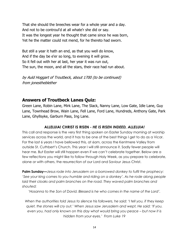That she should the breeches wear for a whole year and a day. And not to be controul'd at all whate'r she did or say. It was the longest year he thought that came since he was born, Yet he the matter could not mend, for he thereto had sworn.

But still a year it hath an end, as that you well do know, And if the day be e'er so long, to evening it will grow. So it fell out with her at last, her year it was run out, The sun, the moon, and all the stars, their race had run about.

by Auld Hoggart of Troutbeck, about 1700 (to be continued) from jonestheblether

#### **Answers of Troutbeck Lanes Quiz:**

Green Lane, Robin Lane, Mirk Lane, The Slack, Nanny Lane, Low Gate, Idle Lane, Guy Lane, Townhead Brow, Wain Lane, Fell Lane, Ford Lane, Hundreds, Anthony Gate, Park Lane, Ghyllsyke, Garburn Pass, Ing Lane.

#### **ALLELUIA! CHRIST IS RISEN -** *HE IS RISEN INDEED, ALLELUIA!*

This call and response is the very first thing spoken on Easter Sunday morning at worship services across the world, and it has to be one of the best things I get to do as a Vicar. For the last 6 years I have bellowed this, at 6am, across the Kentmere Valley from outside St. Cuthbert's Church. This year I will still announce it. Sadly fewer people will hear me. But Easter will still happen even if we can't celebrate together. Below are a few reflections you might like to follow through Holy Week, as you prepare to celebrate, alone or with others, the resurrection of our Lord and Saviour Jesus Christ.

**Palm Sunday—***Jesus rode into Jerusalem on a borrowed donkey to fulfil the prophecy: 'See your king comes to you humble and riding on a donkey'. As he rode along people laid their cloaks and palm branches on the road. They waved palm branches and shouted:*

*'Hosanna to the Son of David. Blessed is he who comes in the name of the Lord'.*

*When the authorities told Jesus to silence his followers, he said: 'I tell you, if they keep quiet, the stones will cry out.' When Jesus saw Jerusalem and wept, He said: 'If you, even you, had only known on this day what would bring you peace – but now it is hidden from your eyes.' From Luke 19*